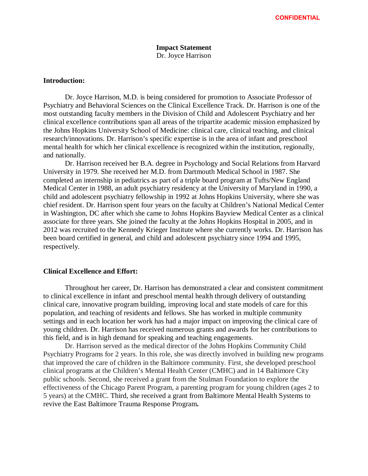### **Impact Statement** Dr. Joyce Harrison

### **Introduction:**

Dr. Joyce Harrison, M.D. is being considered for promotion to Associate Professor of Psychiatry and Behavioral Sciences on the Clinical Excellence Track. Dr. Harrison is one of the most outstanding faculty members in the Division of Child and Adolescent Psychiatry and her clinical excellence contributions span all areas of the tripartite academic mission emphasized by the Johns Hopkins University School of Medicine: clinical care, clinical teaching, and clinical research/innovations. Dr. Harrison's specific expertise is in the area of infant and preschool mental health for which her clinical excellence is recognized within the institution, regionally, and nationally.

Dr. Harrison received her B.A. degree in Psychology and Social Relations from Harvard University in 1979. She received her M.D. from Dartmouth Medical School in 1987. She completed an internship in pediatrics as part of a triple board program at Tufts/New England Medical Center in 1988, an adult psychiatry residency at the University of Maryland in 1990, a child and adolescent psychiatry fellowship in 1992 at Johns Hopkins University, where she was chief resident. Dr. Harrison spent four years on the faculty at Children's National Medical Center in Washington, DC after which she came to Johns Hopkins Bayview Medical Center as a clinical associate for three years. She joined the faculty at the Johns Hopkins Hospital in 2005, and in 2012 was recruited to the Kennedy Krieger Institute where she currently works. Dr. Harrison has been board certified in general, and child and adolescent psychiatry since 1994 and 1995, respectively.

#### **Clinical Excellence and Effort:**

Throughout her career, Dr. Harrison has demonstrated a clear and consistent commitment to clinical excellence in infant and preschool mental health through delivery of outstanding clinical care, innovative program building, improving local and state models of care for this population, and teaching of residents and fellows. She has worked in multiple community settings and in each location her work has had a major impact on improving the clinical care of young children. Dr. Harrison has received numerous grants and awards for her contributions to this field, and is in high demand for speaking and teaching engagements.

Dr. Harrison served as the medical director of the Johns Hopkins Community Child Psychiatry Programs for 2 years. In this role, she was directly involved in building new programs that improved the care of children in the Baltimore community. First, she developed preschool clinical programs at the Children's Mental Health Center (CMHC) and in 14 Baltimore City public schools. Second, she received a grant from the Stulman Foundation to explore the effectiveness of the Chicago Parent Program, a parenting program for young children (ages 2 to 5 years) at the CMHC. Third, she received a grant from Baltimore Mental Health Systems to revive the East Baltimore Trauma Response Program**.**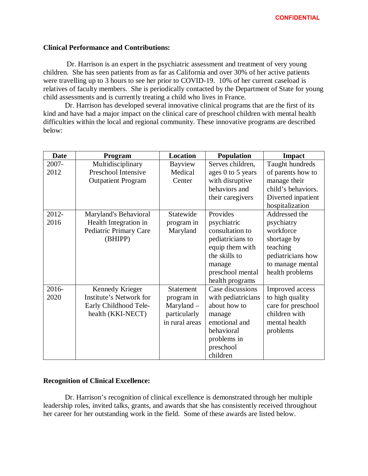## **Clinical Performance and Contributions:**

Dr. Harrison is an expert in the psychiatric assessment and treatment of very young children. She has seen patients from as far as California and over 30% of her active patients were travelling up to 3 hours to see her prior to COVID-19. 10% of her current caseload is relatives of faculty members. She is periodically contacted by the Department of State for young child assessments and is currently treating a child who lives in France.

Dr. Harrison has developed several innovative clinical programs that are the first of its kind and have had a major impact on the clinical care of preschool children with mental health difficulties within the local and regional community. These innovative programs are described below:

| <b>Date</b> | Program                   | <b>Location</b> | <b>Population</b>  | <b>Impact</b>      |
|-------------|---------------------------|-----------------|--------------------|--------------------|
| 2007-       | Multidisciplinary         | Bayview         | Serves children,   | Taught hundreds    |
| 2012        | Preschool Intensive       | Medical         | ages 0 to 5 years  | of parents how to  |
|             | <b>Outpatient Program</b> | Center          | with disruptive    | manage their       |
|             |                           |                 | behaviors and      | child's behaviors. |
|             |                           |                 | their caregivers   | Diverted inpatient |
|             |                           |                 |                    | hospitalization    |
| 2012-       | Maryland's Behavioral     | Statewide       | Provides           | Addressed the      |
| 2016        | Health Integration in     | program in      | psychiatric        | psychiatry         |
|             | Pediatric Primary Care    | Maryland        | consultation to    | workforce          |
|             | (BHIPP)                   |                 | pediatricians to   | shortage by        |
|             |                           |                 | equip them with    | teaching           |
|             |                           |                 | the skills to      | pediatricians how  |
|             |                           |                 | manage             | to manage mental   |
|             |                           |                 | preschool mental   | health problems    |
|             |                           |                 | health programs    |                    |
| 2016-       | Kennedy Krieger           | Statement       | Case discussions   | Improved access    |
| 2020        | Institute's Network for   | program in      | with pediatricians | to high quality    |
|             | Early Childhood Tele-     | $Maryland -$    | about how to       | care for preschool |
|             | health (KKI-NECT)         | particularly    | manage             | children with      |
|             |                           | in rural areas  | emotional and      | mental health      |
|             |                           |                 | behavioral         | problems           |
|             |                           |                 | problems in        |                    |
|             |                           |                 | preschool          |                    |
|             |                           |                 | children           |                    |

# **Recognition of Clinical Excellence:**

Dr. Harrison's recognition of clinical excellence is demonstrated through her multiple leadership roles, invited talks, grants, and awards that she has consistently received throughout her career for her outstanding work in the field. Some of these awards are listed below.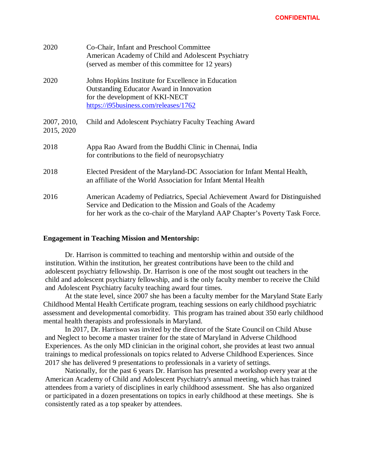| 2020                      | Co-Chair, Infant and Preschool Committee<br>American Academy of Child and Adolescent Psychiatry<br>(served as member of this committee for 12 years)                                                                            |
|---------------------------|---------------------------------------------------------------------------------------------------------------------------------------------------------------------------------------------------------------------------------|
| 2020                      | Johns Hopkins Institute for Excellence in Education<br><b>Outstanding Educator Award in Innovation</b><br>for the development of KKI-NECT<br>https://i95business.com/releases/1762                                              |
| 2007, 2010,<br>2015, 2020 | Child and Adolescent Psychiatry Faculty Teaching Award                                                                                                                                                                          |
| 2018                      | Appa Rao Award from the Buddhi Clinic in Chennai, India<br>for contributions to the field of neuropsychiatry                                                                                                                    |
| 2018                      | Elected President of the Maryland-DC Association for Infant Mental Health,<br>an affiliate of the World Association for Infant Mental Health                                                                                    |
| 2016                      | American Academy of Pediatrics, Special Achievement Award for Distinguished<br>Service and Dedication to the Mission and Goals of the Academy<br>for her work as the co-chair of the Maryland AAP Chapter's Poverty Task Force. |

### **Engagement in Teaching Mission and Mentorship:**

Dr. Harrison is committed to teaching and mentorship within and outside of the institution. Within the institution, her greatest contributions have been to the child and adolescent psychiatry fellowship. Dr. Harrison is one of the most sought out teachers in the child and adolescent psychiatry fellowship, and is the only faculty member to receive the Child and Adolescent Psychiatry faculty teaching award four times.

At the state level, since 2007 she has been a faculty member for the Maryland State Early Childhood Mental Health Certificate program, teaching sessions on early childhood psychiatric assessment and developmental comorbidity. This program has trained about 350 early childhood mental health therapists and professionals in Maryland.

In 2017, Dr. Harrison was invited by the director of the State Council on Child Abuse and Neglect to become a master trainer for the state of Maryland in Adverse Childhood Experiences. As the only MD clinician in the original cohort, she provides at least two annual trainings to medical professionals on topics related to Adverse Childhood Experiences. Since 2017 she has delivered 9 presentations to professionals in a variety of settings.

Nationally, for the past 6 years Dr. Harrison has presented a workshop every year at the American Academy of Child and Adolescent Psychiatry's annual meeting, which has trained attendees from a variety of disciplines in early childhood assessment. She has also organized or participated in a dozen presentations on topics in early childhood at these meetings. She is consistently rated as a top speaker by attendees.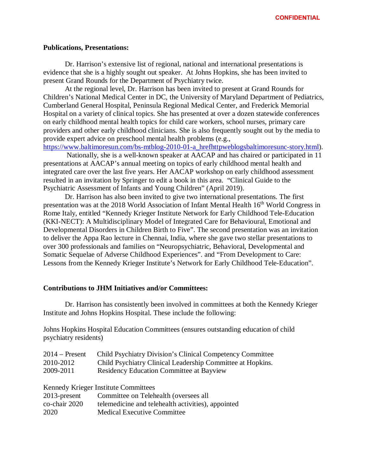### **Publications, Presentations:**

Dr. Harrison's extensive list of regional, national and international presentations is evidence that she is a highly sought out speaker. At Johns Hopkins, she has been invited to present Grand Rounds for the Department of Psychiatry twice.

At the regional level, Dr. Harrison has been invited to present at Grand Rounds for Children's National Medical Center in DC, the University of Maryland Department of Pediatrics, Cumberland General Hospital, Peninsula Regional Medical Center, and Frederick Memorial Hospital on a variety of clinical topics. She has presented at over a dozen statewide conferences on early childhood mental health topics for child care workers, school nurses, primary care providers and other early childhood clinicians. She is also frequently sought out by the media to provide expert advice on preschool mental health problems (e.g.,

[https://www.baltimoresun.com/bs-mtblog-2010-01-a\\_hrefhttpweblogsbaltimoresunc-story.html\)](https://www.baltimoresun.com/bs-mtblog-2010-01-a_hrefhttpweblogsbaltimoresunc-story.html).

Nationally, she is a well-known speaker at AACAP and has chaired or participated in 11 presentations at AACAP's annual meeting on topics of early childhood mental health and integrated care over the last five years. Her AACAP workshop on early childhood assessment resulted in an invitation by Springer to edit a book in this area. "Clinical Guide to the Psychiatric Assessment of Infants and Young Children" (April 2019).

Dr. Harrison has also been invited to give two international presentations. The first presentation was at the 2018 World Association of Infant Mental Health 16<sup>th</sup> World Congress in Rome Italy, entitled "Kennedy Krieger Institute Network for Early Childhood Tele-Education (KKI-NECT): A Multidisciplinary Model of Integrated Care for Behavioural, Emotional and Developmental Disorders in Children Birth to Five". The second presentation was an invitation to deliver the Appa Rao lecture in Chennai, India, where she gave two stellar presentations to over 300 professionals and families on "Neuropsychiatric, Behavioral, Developmental and Somatic Sequelae of Adverse Childhood Experiences". and "From Development to Care: Lessons from the Kennedy Krieger Institute's Network for Early Childhood Tele-Education".

### **Contributions to JHM Initiatives and/or Committees:**

Dr. Harrison has consistently been involved in committees at both the Kennedy Krieger Institute and Johns Hopkins Hospital. These include the following:

Johns Hopkins Hospital Education Committees (ensures outstanding education of child psychiatry residents)

| $2014$ – Present | <b>Child Psychiatry Division's Clinical Competency Committee</b> |
|------------------|------------------------------------------------------------------|
| 2010-2012        | Child Psychiatry Clinical Leadership Committee at Hopkins.       |
| 2009-2011        | <b>Residency Education Committee at Bayview</b>                  |

Kennedy Krieger Institute Committees

| $2013$ -present | Committee on Telehealth (oversees all              |
|-----------------|----------------------------------------------------|
| co-chair 2020   | telemedicine and telehealth activities), appointed |
| 2020            | <b>Medical Executive Committee</b>                 |